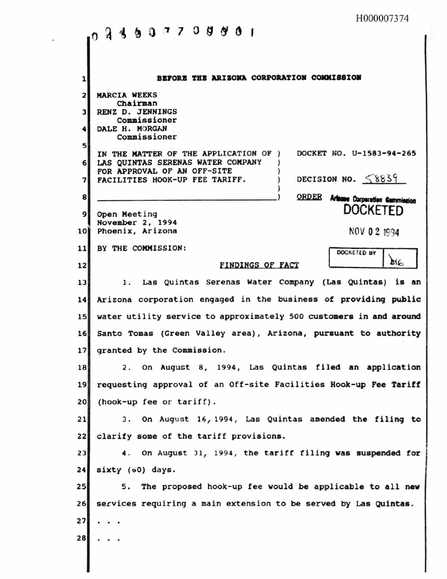|                | H000007374                                                         |  |  |
|----------------|--------------------------------------------------------------------|--|--|
|                | 94997709901<br>O.                                                  |  |  |
|                |                                                                    |  |  |
|                |                                                                    |  |  |
| 1              | BEFORE THE ARIZONA CORPORATION COMMISSION                          |  |  |
| 2              | <b>MARCIA WEEKS</b><br>Chairman                                    |  |  |
| 3              | RENZ D. JENNINGS<br>Commissioner                                   |  |  |
| 4              | DALE H. MORGAN<br>Commissioner                                     |  |  |
| 5              | DOCKET NO. U-1583-94-265<br>IN THE MATTER OF THE APPLICATION OF    |  |  |
| 6 <sup>1</sup> | LAS QUINTAS SERENAS WATER COMPANY<br>FOR APPROVAL OF AN OFF-SITE   |  |  |
| 7              | DECISION NO. $58839$<br>FACILITIES HOOK-UP FEE TARIFF.             |  |  |
| 8              | ORDER Arisone Corporation Commission                               |  |  |
| 9              | <b>DOCKETED</b><br>Open Meeting                                    |  |  |
| 10             | November 2, 1994<br>Phoenix, Arizona<br>NOV 0 2 1994               |  |  |
| 11             | BY THE COMMISSION:<br>DOCKETED BY                                  |  |  |
| 12             | <b>PIE</b><br>FINDINGS OF FACT                                     |  |  |
| 13             | 1. Las Quintas Serenas Water Company (Las Quintas) is an           |  |  |
| 14             | Arizona corporation engaged in the business of providing public    |  |  |
| 15             | water utility service to approximately 500 customers in and around |  |  |
| 16             | Santo Tomas (Green Valley area), Arizona, pursuant to authority    |  |  |
| 17             | granted by the Commission.                                         |  |  |
| 18             | 2. On August 8, 1994, Las Quintas filed an application             |  |  |
| 19             | requesting approval of an Off-site Facilities Hook-up Fee Tariff   |  |  |
| 20             | $(hook-up fee or tariff).$                                         |  |  |
| 21             | 3. On August 16, 1994, Las Quintas amended the filing to           |  |  |
| 22             | clarify some of the tariff provisions.                             |  |  |
| 23             | 4. On August 31, 1994, the tariff filing was suspended for         |  |  |
| 24             | sixty (60) days.                                                   |  |  |
| 25             | 5. The proposed hook-up fee would be applicable to all new         |  |  |
| 26             | services requiring a main extension to be served by Las Quintas.   |  |  |
| 27             |                                                                    |  |  |
| 28             |                                                                    |  |  |
|                |                                                                    |  |  |

 $\tau = -\infty$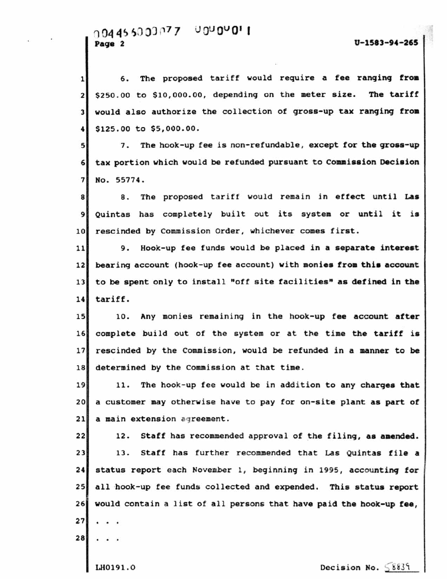1 6. The proposed tariff would require a fee ranging from The tariff 3 would also authorize the collection of gross-up tax ranging from  $2$  \$250.00 to \$10,000.00, depending on the meter size. 4 \$125.00 to \$5,ooo.oo.

7. 6 tax portion which would be refunded pursuant to Commission Decision 5 7. The hook-up fee is non-refundable, except for the gross-up 7 No. 55774.

8 8. The proposed tariff would remain in effect until Las 9 Quintas has completely built out its system or until it is 10 rescinded by Commission Order, whichever comes first.

11 9. Hook-up fee funds would be placed in a separate interest 12 bearing account (hook-up fee account) with monies from this account 13 to be spent only to install "off site facilities" as defined in the 14 tariff.

15 10. Any monies remaining in the hook-up fee account after 16 complete build out of the system or at the time the tariff is 17 rescinded by the Commission, would be refunded in a manner to be 18 determined by the Commission at that time.

20 a customer may otherwise have to pay for on-site plant as part of 19 11. The hook-up fee would be in addition to any charges that 21 a main extension agreement.

22 12. Staff has recommended approval of the filing, as amended. 23 13. Staff has further recommended that Las Quintas file a 24 status report each November 1, beginning in 1995, accounting for 25 all hook-up fee funds collected and expended. This status report 26 would contain a list of all persons that have paid the hook-up fee, 27 28

.. LH0191.0 Decision No.  $58839$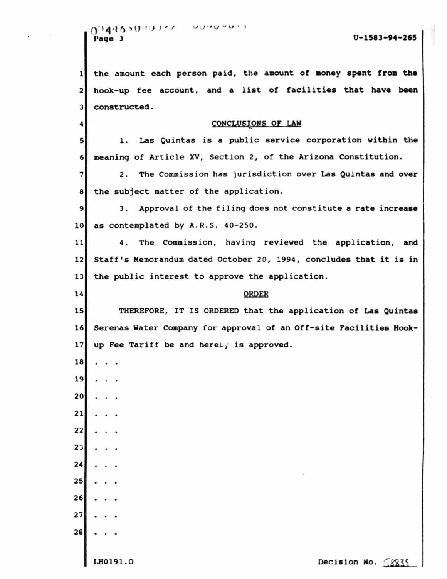|        | 0.144930.19337 |  |
|--------|----------------|--|
| Page 3 |                |  |

 $U-1583-94-265$ 

1 the amount each person paid, the amount of money spent from the 2 hook-up fee account, and a list of facilities that have been 3 constructed. 4 1. 2. 9 3. Approval of the filing does not constitute a rate increase 10 as contemplated by A.R.S. 40-250. 11 4. The Commission, having reviewed the application, and CONCLUSIONS OF LAW 5 1. Las Quintas is a public service corporation within the 6 meaning of Article xv, Section 2, of the Arizona Constitution. 7 2. The Commission has jurisdiction over Las Quintas and over 8 the subject matter of the application. 12 Staff's Memorandum dated October 20, 1994, concludes that it is in 13 the public interest to approve the application. 14 ORDER 15 THEREFORE, IT IS ORDERED that the application of Las Quintas 16 Serenas water Company for approval of an off-site Facilities Hook-17 up Fee Tariff be and hereby is approved. 18 19 20 21 22  $23$  $24$  $25$ 26 27 28  $L$ H0191.0 Decision No.  $8835$